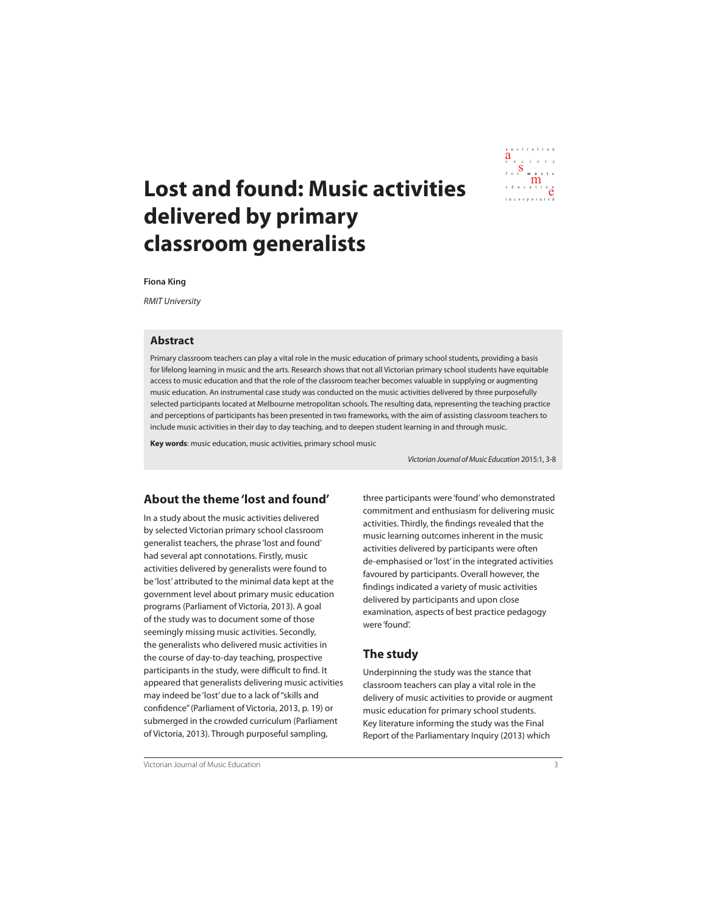

# **Lost and found: Music activities delivered by primary classroom generalists**

**Fiona King**

RMIT University

#### **Abstract**

Primary classroom teachers can play a vital role in the music education of primary school students, providing a basis for lifelong learning in music and the arts. Research shows that not all Victorian primary school students have equitable access to music education and that the role of the classroom teacher becomes valuable in supplying or augmenting music education. An instrumental case study was conducted on the music activities delivered by three purposefully selected participants located at Melbourne metropolitan schools. The resulting data, representing the teaching practice and perceptions of participants has been presented in two frameworks, with the aim of assisting classroom teachers to include music activities in their day to day teaching, and to deepen student learning in and through music.

**Key words**: music education, music activities, primary school music

Victorian Journal of Music Education 2015:1, 3-8

## **About the theme 'lost and found'**

In a study about the music activities delivered by selected Victorian primary school classroom generalist teachers, the phrase 'lost and found' had several apt connotations. Firstly, music activities delivered by generalists were found to be 'lost' attributed to the minimal data kept at the government level about primary music education programs (Parliament of Victoria, 2013). A goal of the study was to document some of those seemingly missing music activities. Secondly, the generalists who delivered music activities in the course of day-to-day teaching, prospective participants in the study, were difficult to find. It appeared that generalists delivering music activities may indeed be 'lost' due to a lack of "skills and confidence" (Parliament of Victoria, 2013, p. 19) or submerged in the crowded curriculum (Parliament of Victoria, 2013). Through purposeful sampling,

three participants were 'found' who demonstrated commitment and enthusiasm for delivering music activities. Thirdly, the findings revealed that the music learning outcomes inherent in the music activities delivered by participants were often de-emphasised or 'lost' in the integrated activities favoured by participants. Overall however, the findings indicated a variety of music activities delivered by participants and upon close examination, aspects of best practice pedagogy were 'found'.

## **The study**

Underpinning the study was the stance that classroom teachers can play a vital role in the delivery of music activities to provide or augment music education for primary school students. Key literature informing the study was the Final Report of the Parliamentary Inquiry (2013) which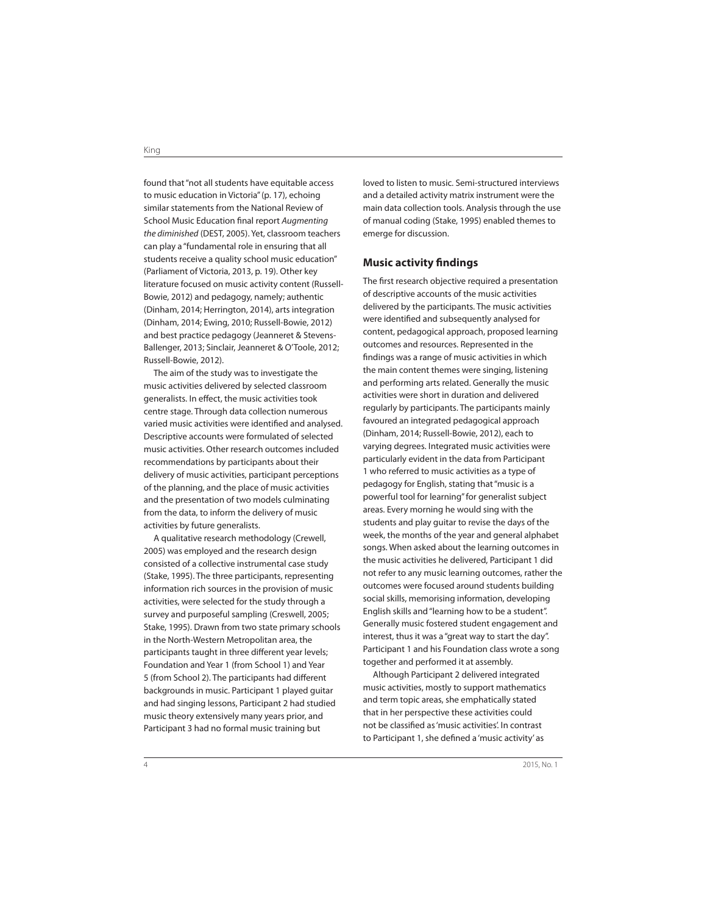found that "not all students have equitable access to music education in Victoria" (p. 17), echoing similar statements from the National Review of School Music Education final report Augmenting the diminished (DEST, 2005). Yet, classroom teachers can play a "fundamental role in ensuring that all students receive a quality school music education" (Parliament of Victoria, 2013, p. 19). Other key literature focused on music activity content (Russell-Bowie, 2012) and pedagogy, namely; authentic (Dinham, 2014; Herrington, 2014), arts integration (Dinham, 2014; Ewing, 2010; Russell-Bowie, 2012) and best practice pedagogy (Jeanneret & Stevens-Ballenger, 2013; Sinclair, Jeanneret & O'Toole, 2012; Russell-Bowie, 2012).

The aim of the study was to investigate the music activities delivered by selected classroom generalists. In effect, the music activities took centre stage. Through data collection numerous varied music activities were identified and analysed. Descriptive accounts were formulated of selected music activities. Other research outcomes included recommendations by participants about their delivery of music activities, participant perceptions of the planning, and the place of music activities and the presentation of two models culminating from the data, to inform the delivery of music activities by future generalists.

A qualitative research methodology (Crewell, 2005) was employed and the research design consisted of a collective instrumental case study (Stake, 1995). The three participants, representing information rich sources in the provision of music activities, were selected for the study through a survey and purposeful sampling (Creswell, 2005; Stake, 1995). Drawn from two state primary schools in the North-Western Metropolitan area, the participants taught in three different year levels; Foundation and Year 1 (from School 1) and Year 5 (from School 2). The participants had different backgrounds in music. Participant 1 played guitar and had singing lessons, Participant 2 had studied music theory extensively many years prior, and Participant 3 had no formal music training but

loved to listen to music. Semi-structured interviews and a detailed activity matrix instrument were the main data collection tools. Analysis through the use of manual coding (Stake, 1995) enabled themes to emerge for discussion.

#### **Music activity findings**

The first research objective required a presentation of descriptive accounts of the music activities delivered by the participants. The music activities were identified and subsequently analysed for content, pedagogical approach, proposed learning outcomes and resources. Represented in the findings was a range of music activities in which the main content themes were singing, listening and performing arts related. Generally the music activities were short in duration and delivered regularly by participants. The participants mainly favoured an integrated pedagogical approach (Dinham, 2014; Russell-Bowie, 2012), each to varying degrees. Integrated music activities were particularly evident in the data from Participant 1 who referred to music activities as a type of pedagogy for English, stating that "music is a powerful tool for learning" for generalist subject areas. Every morning he would sing with the students and play guitar to revise the days of the week, the months of the year and general alphabet songs. When asked about the learning outcomes in the music activities he delivered, Participant 1 did not refer to any music learning outcomes, rather the outcomes were focused around students building social skills, memorising information, developing English skills and "learning how to be a student". Generally music fostered student engagement and interest, thus it was a "great way to start the day". Participant 1 and his Foundation class wrote a song together and performed it at assembly.

Although Participant 2 delivered integrated music activities, mostly to support mathematics and term topic areas, she emphatically stated that in her perspective these activities could not be classified as 'music activities'. In contrast to Participant 1, she defined a 'music activity' as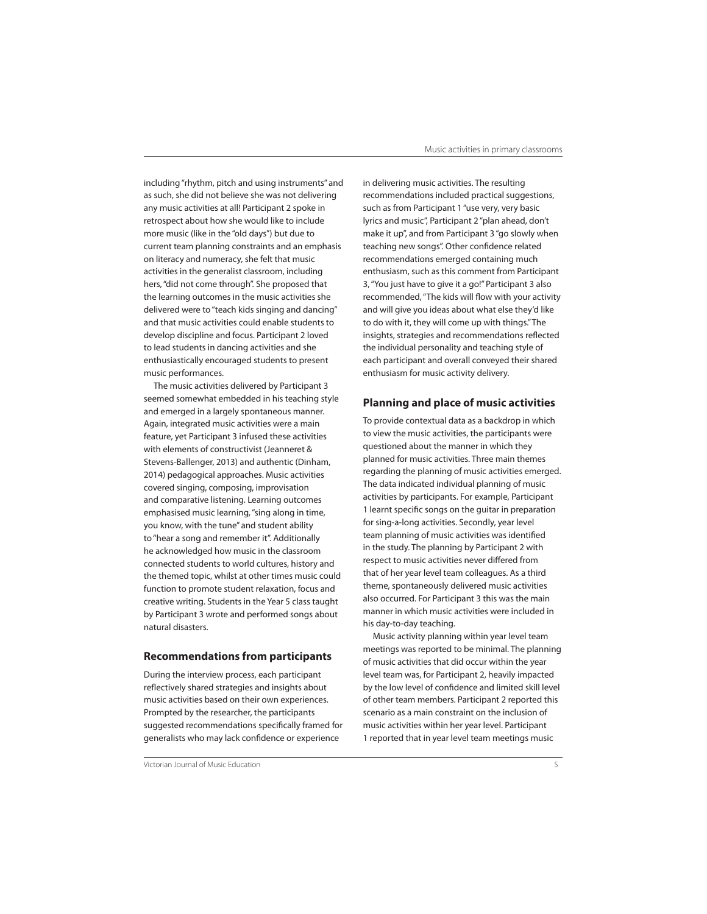including "rhythm, pitch and using instruments" and as such, she did not believe she was not delivering any music activities at all! Participant 2 spoke in retrospect about how she would like to include more music (like in the "old days") but due to current team planning constraints and an emphasis on literacy and numeracy, she felt that music activities in the generalist classroom, including hers, "did not come through". She proposed that the learning outcomes in the music activities she delivered were to "teach kids singing and dancing" and that music activities could enable students to develop discipline and focus. Participant 2 loved to lead students in dancing activities and she enthusiastically encouraged students to present music performances.

The music activities delivered by Participant 3 seemed somewhat embedded in his teaching style and emerged in a largely spontaneous manner. Again, integrated music activities were a main feature, yet Participant 3 infused these activities with elements of constructivist (Jeanneret & Stevens-Ballenger, 2013) and authentic (Dinham, 2014) pedagogical approaches. Music activities covered singing, composing, improvisation and comparative listening. Learning outcomes emphasised music learning, "sing along in time, you know, with the tune" and student ability to "hear a song and remember it". Additionally he acknowledged how music in the classroom connected students to world cultures, history and the themed topic, whilst at other times music could function to promote student relaxation, focus and creative writing. Students in the Year 5 class taught by Participant 3 wrote and performed songs about natural disasters.

#### **Recommendations from participants**

During the interview process, each participant reflectively shared strategies and insights about music activities based on their own experiences. Prompted by the researcher, the participants suggested recommendations specifically framed for generalists who may lack confidence or experience

in delivering music activities. The resulting recommendations included practical suggestions, such as from Participant 1 "use very, very basic lyrics and music", Participant 2 "plan ahead, don't make it up", and from Participant 3 "go slowly when teaching new songs". Other confidence related recommendations emerged containing much enthusiasm, such as this comment from Participant 3, "You just have to give it a go!" Participant 3 also recommended, "The kids will flow with your activity and will give you ideas about what else they'd like to do with it, they will come up with things." The insights, strategies and recommendations reflected the individual personality and teaching style of each participant and overall conveyed their shared enthusiasm for music activity delivery.

#### **Planning and place of music activities**

To provide contextual data as a backdrop in which to view the music activities, the participants were questioned about the manner in which they planned for music activities. Three main themes regarding the planning of music activities emerged. The data indicated individual planning of music activities by participants. For example, Participant 1 learnt specific songs on the guitar in preparation for sing-a-long activities. Secondly, year level team planning of music activities was identified in the study. The planning by Participant 2 with respect to music activities never differed from that of her year level team colleagues. As a third theme, spontaneously delivered music activities also occurred. For Participant 3 this was the main manner in which music activities were included in his day-to-day teaching.

Music activity planning within year level team meetings was reported to be minimal. The planning of music activities that did occur within the year level team was, for Participant 2, heavily impacted by the low level of confidence and limited skill level of other team members. Participant 2 reported this scenario as a main constraint on the inclusion of music activities within her year level. Participant 1 reported that in year level team meetings music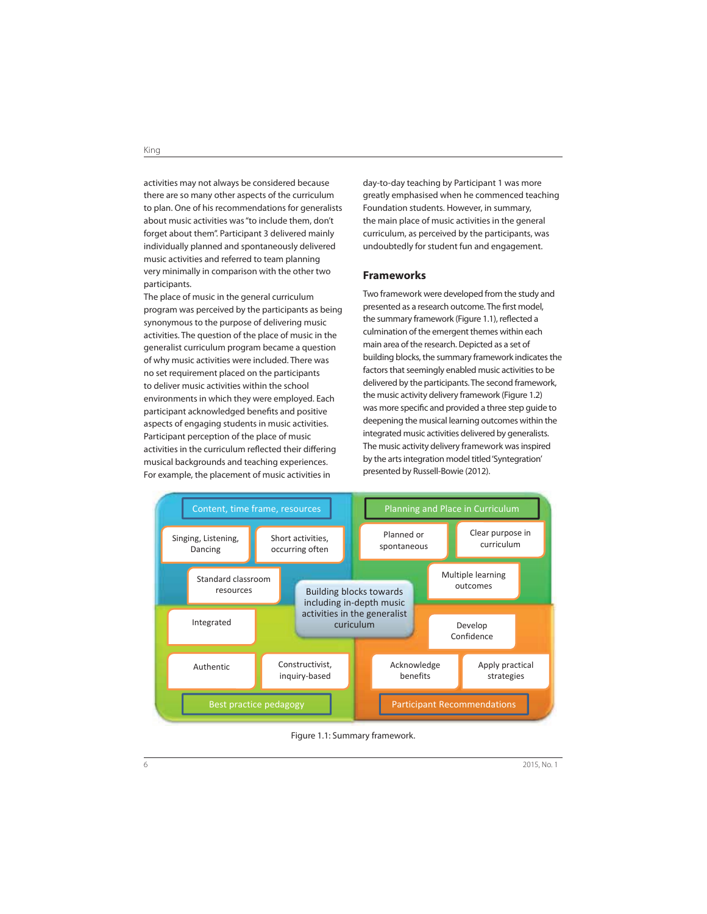activities may not always be considered because there are so many other aspects of the curriculum to plan. One of his recommendations for generalists about music activities was "to include them, don't forget about them". Participant 3 delivered mainly individually planned and spontaneously delivered music activities and referred to team planning very minimally in comparison with the other two participants.

The place of music in the general curriculum program was perceived by the participants as being synonymous to the purpose of delivering music activities. The question of the place of music in the generalist curriculum program became a question of why music activities were included. There was no set requirement placed on the participants to deliver music activities within the school environments in which they were employed. Each participant acknowledged benefits and positive aspects of engaging students in music activities. Participant perception of the place of music activities in the curriculum reflected their differing musical backgrounds and teaching experiences. For example, the placement of music activities in

day-to-day teaching by Participant 1 was more greatly emphasised when he commenced teaching Foundation students. However, in summary, the main place of music activities in the general curriculum, as perceived by the participants, was undoubtedly for student fun and engagement.

#### **Frameworks**

Two framework were developed from the study and presented as a research outcome. The first model, the summary framework (Figure 1.1), reflected a culmination of the emergent themes within each main area of the research. Depicted as a set of building blocks, the summary framework indicates the factors that seemingly enabled music activities to be delivered by the participants. The second framework, the music activity delivery framework (Figure 1.2) was more specific and provided a three step guide to deepening the musical learning outcomes within the integrated music activities delivered by generalists. The music activity delivery framework was inspired by the arts integration model titled 'Syntegration' presented by Russell-Bowie (2012).



Figure 1.1: Summary framework.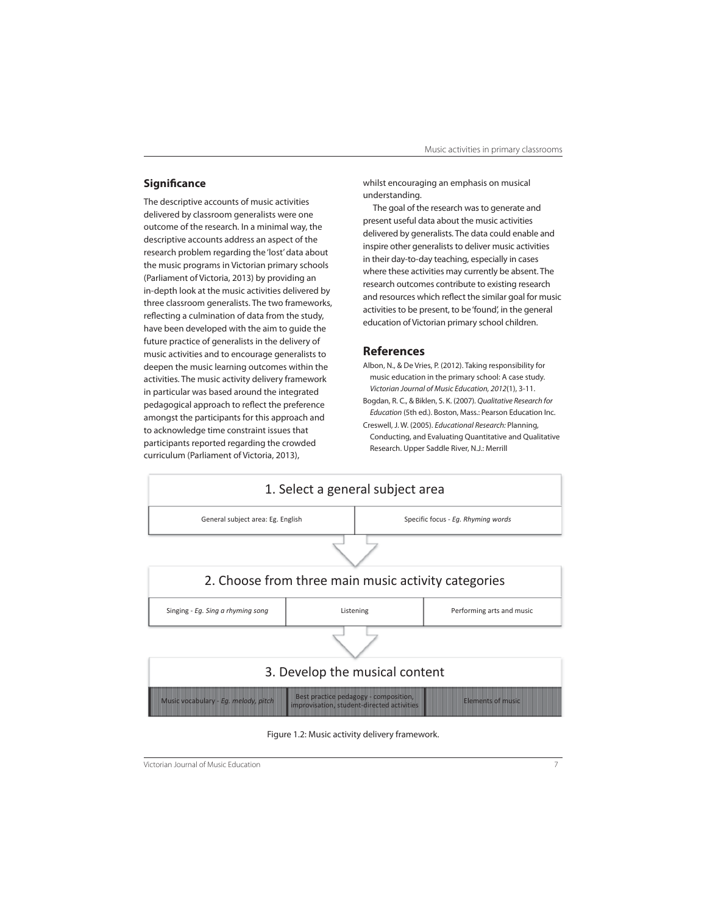### **Significance**

The descriptive accounts of music activities delivered by classroom generalists were one outcome of the research. In a minimal way, the descriptive accounts address an aspect of the research problem regarding the 'lost' data about the music programs in Victorian primary schools (Parliament of Victoria, 2013) by providing an in-depth look at the music activities delivered by three classroom generalists. The two frameworks, reflecting a culmination of data from the study, have been developed with the aim to guide the future practice of generalists in the delivery of music activities and to encourage generalists to deepen the music learning outcomes within the activities. The music activity delivery framework in particular was based around the integrated pedagogical approach to reflect the preference amongst the participants for this approach and to acknowledge time constraint issues that participants reported regarding the crowded curriculum (Parliament of Victoria, 2013),

whilst encouraging an emphasis on musical understanding.

The goal of the research was to generate and present useful data about the music activities delivered by generalists. The data could enable and inspire other generalists to deliver music activities in their day-to-day teaching, especially in cases where these activities may currently be absent. The research outcomes contribute to existing research and resources which reflect the similar goal for music activities to be present, to be 'found', in the general education of Victorian primary school children.

#### **References**

- Albon, N., & De Vries, P. (2012). Taking responsibility for music education in the primary school: A case study. Victorian Journal of Music Education, 2012(1), 3-11.
- Bogdan, R. C., & Biklen, S. K. (2007). Qualitative Research for Education (5th ed.). Boston, Mass.: Pearson Education Inc. Creswell, J. W. (2005). Educational Research: Planning, Conducting, and Evaluating Quantitative and Qualitative Research. Upper Saddle River, N.J.: Merrill